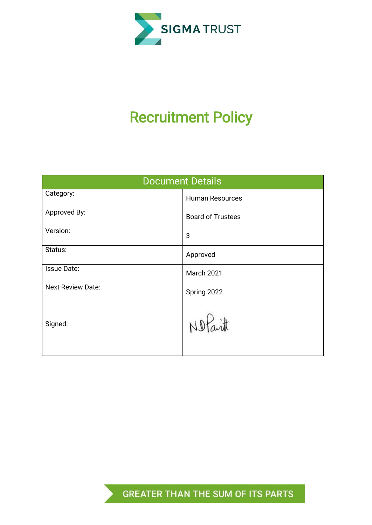

# Recruitment Policy

| <b>Document Details</b>  |                          |  |  |
|--------------------------|--------------------------|--|--|
| Category:                | <b>Human Resources</b>   |  |  |
| Approved By:             | <b>Board of Trustees</b> |  |  |
| Version:                 | 3                        |  |  |
| Status:                  | Approved                 |  |  |
| <b>Issue Date:</b>       | March 2021               |  |  |
| <b>Next Review Date:</b> | Spring 2022              |  |  |
| Signed:                  | uitt                     |  |  |

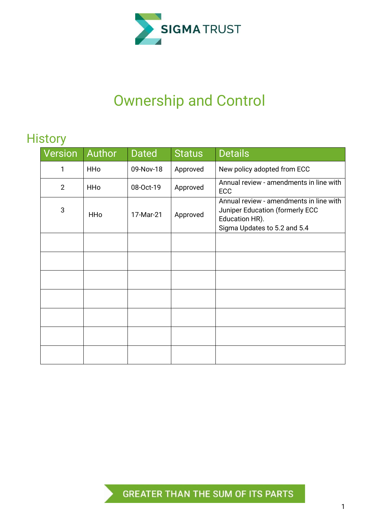

## Ownership and Control

## **History**

| <b>Version</b> | Author     | <b>Dated</b> | <b>Status</b> | <b>Details</b>                                                                                                               |  |
|----------------|------------|--------------|---------------|------------------------------------------------------------------------------------------------------------------------------|--|
| 1              | <b>HHo</b> | 09-Nov-18    | Approved      | New policy adopted from ECC                                                                                                  |  |
| $\overline{2}$ | <b>HHo</b> | 08-Oct-19    | Approved      | Annual review - amendments in line with<br>ECC                                                                               |  |
| 3              | <b>HHo</b> | 17-Mar-21    | Approved      | Annual review - amendments in line with<br>Juniper Education (formerly ECC<br>Education HR).<br>Sigma Updates to 5.2 and 5.4 |  |
|                |            |              |               |                                                                                                                              |  |
|                |            |              |               |                                                                                                                              |  |
|                |            |              |               |                                                                                                                              |  |
|                |            |              |               |                                                                                                                              |  |
|                |            |              |               |                                                                                                                              |  |
|                |            |              |               |                                                                                                                              |  |
|                |            |              |               |                                                                                                                              |  |

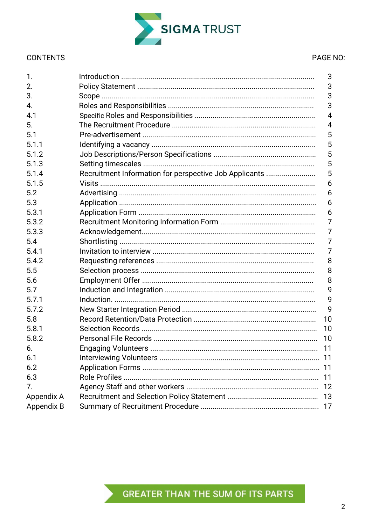

#### **CONTENTS**

#### PAGE NO:

| 1.         |                                                        | 3  |
|------------|--------------------------------------------------------|----|
| 2.         |                                                        | 3  |
| 3.         |                                                        | 3  |
| 4.         |                                                        | 3  |
| 4.1        |                                                        | 4  |
| 5.         |                                                        | 4  |
| 5.1        |                                                        | 5  |
| 5.1.1      |                                                        | 5  |
| 5.1.2      |                                                        | 5  |
| 5.1.3      |                                                        | 5  |
| 5.1.4      | Recruitment Information for perspective Job Applicants | 5  |
| 5.1.5      |                                                        | 6  |
| 5.2        |                                                        | 6  |
| 5.3        |                                                        | 6  |
| 5.3.1      |                                                        | 6  |
| 5.3.2      |                                                        | 7  |
| 5.3.3      |                                                        | 7  |
| 5.4        |                                                        | 7  |
| 5.4.1      |                                                        | 7  |
| 5.4.2      |                                                        | 8  |
| 5.5        |                                                        | 8  |
| 5.6        |                                                        | 8  |
| 5.7        |                                                        | 9  |
| 5.7.1      |                                                        | 9  |
| 5.7.2      |                                                        | 9  |
| 5.8        |                                                        | 10 |
| 5.8.1      |                                                        | 10 |
| 5.8.2      |                                                        | 10 |
| 6.         |                                                        | 11 |
| 6.1        |                                                        |    |
| 6.2        |                                                        |    |
| 6.3        |                                                        | 11 |
| 7.         |                                                        | 12 |
| Appendix A |                                                        |    |
| Appendix B |                                                        |    |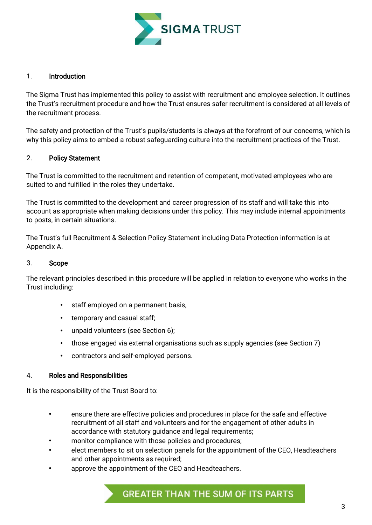

#### 1. Introduction

The Sigma Trust has implemented this policy to assist with recruitment and employee selection. It outlines the Trust's recruitment procedure and how the Trust ensures safer recruitment is considered at all levels of the recruitment process.

The safety and protection of the Trust's pupils/students is always at the forefront of our concerns, which is why this policy aims to embed a robust safeguarding culture into the recruitment practices of the Trust.

#### 2. Policy Statement

The Trust is committed to the recruitment and retention of competent, motivated employees who are suited to and fulfilled in the roles they undertake.

The Trust is committed to the development and career progression of its staff and will take this into account as appropriate when making decisions under this policy. This may include internal appointments to posts, in certain situations.

The Trust's full Recruitment & Selection Policy Statement including Data Protection information is at Appendix A.

#### 3. Scope

The relevant principles described in this procedure will be applied in relation to everyone who works in the Trust including:

- staff employed on a permanent basis,
- temporary and casual staff;
- unpaid volunteers (see Section 6);
- those engaged via external organisations such as supply agencies (see Section 7)
- contractors and self-employed persons.

#### 4. Roles and Responsibilities

It is the responsibility of the Trust Board to:

- ensure there are effective policies and procedures in place for the safe and effective recruitment of all staff and volunteers and for the engagement of other adults in accordance with statutory guidance and legal requirements;
- monitor compliance with those policies and procedures;
- elect members to sit on selection panels for the appointment of the CEO, Headteachers and other appointments as required;
- approve the appointment of the CEO and Headteachers.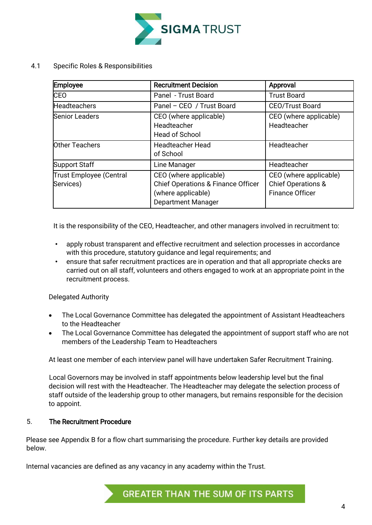

4.1 Specific Roles & Responsibilities

| Employee                                    | <b>Recruitment Decision</b>                                                                                                | Approval                                                                          |
|---------------------------------------------|----------------------------------------------------------------------------------------------------------------------------|-----------------------------------------------------------------------------------|
| <b>CEO</b>                                  | Panel - Trust Board                                                                                                        | <b>Trust Board</b>                                                                |
| <b>Headteachers</b>                         | Panel - CEO / Trust Board                                                                                                  | <b>CEO/Trust Board</b>                                                            |
| <b>Senior Leaders</b>                       | CEO (where applicable)<br>Headteacher<br><b>Head of School</b>                                                             | CEO (where applicable)<br>Headteacher                                             |
| <b>Other Teachers</b>                       | <b>Headteacher Head</b><br>of School                                                                                       | Headteacher                                                                       |
| Support Staff                               | Line Manager                                                                                                               | Headteacher                                                                       |
| <b>Trust Employee (Central</b><br>Services) | CEO (where applicable)<br><b>Chief Operations &amp; Finance Officer</b><br>(where applicable)<br><b>Department Manager</b> | CEO (where applicable)<br><b>Chief Operations &amp;</b><br><b>Finance Officer</b> |

It is the responsibility of the CEO, Headteacher, and other managers involved in recruitment to:

- apply robust transparent and effective recruitment and selection processes in accordance with this procedure, statutory guidance and legal requirements; and
- ensure that safer recruitment practices are in operation and that all appropriate checks are carried out on all staff, volunteers and others engaged to work at an appropriate point in the recruitment process.

Delegated Authority

- The Local Governance Committee has delegated the appointment of Assistant Headteachers to the Headteacher
- The Local Governance Committee has delegated the appointment of support staff who are not members of the Leadership Team to Headteachers

At least one member of each interview panel will have undertaken Safer Recruitment Training.

Local Governors may be involved in staff appointments below leadership level but the final decision will rest with the Headteacher. The Headteacher may delegate the selection process of staff outside of the leadership group to other managers, but remains responsible for the decision to appoint.

#### 5. The Recruitment Procedure

Please see Appendix B for a flow chart summarising the procedure. Further key details are provided below.

Internal vacancies are defined as any vacancy in any academy within the Trust.

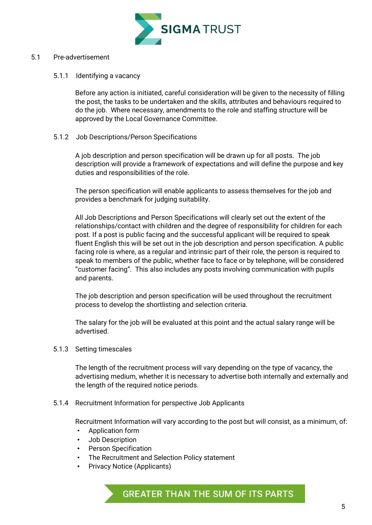

#### 5.1 Pre-advertisement

#### 5.1.1 Identifying a vacancy

Before any action is initiated, careful consideration will be given to the necessity of filling the post, the tasks to be undertaken and the skills, attributes and behaviours required to do the job. Where necessary, amendments to the role and staffing structure will be approved by the Local Governance Committee.

5.1.2 Job Descriptions/Person Specifications

A job description and person specification will be drawn up for all posts. The job description will provide a framework of expectations and will define the purpose and key duties and responsibilities of the role.

The person specification will enable applicants to assess themselves for the job and provides a benchmark for judging suitability.

All Job Descriptions and Person Specifications will clearly set out the extent of the relationships/contact with children and the degree of responsibility for children for each post. If a post is public facing and the successful applicant will be required to speak fluent English this will be set out in the job description and person specification. A public facing role is where, as a regular and intrinsic part of their role, the person is required to speak to members of the public, whether face to face or by telephone, will be considered "customer facing". This also includes any posts involving communication with pupils and parents.

The job description and person specification will be used throughout the recruitment process to develop the shortlisting and selection criteria.

The salary for the job will be evaluated at this point and the actual salary range will be advertised.

5.1.3 Setting timescales

The length of the recruitment process will vary depending on the type of vacancy, the advertising medium, whether it is necessary to advertise both internally and externally and the length of the required notice periods.

5.1.4 Recruitment Information for perspective Job Applicants

Recruitment Information will vary according to the post but will consist, as a minimum, of:

- Application form
- Job Description
- Person Specification
- The Recruitment and Selection Policy statement
- Privacy Notice (Applicants)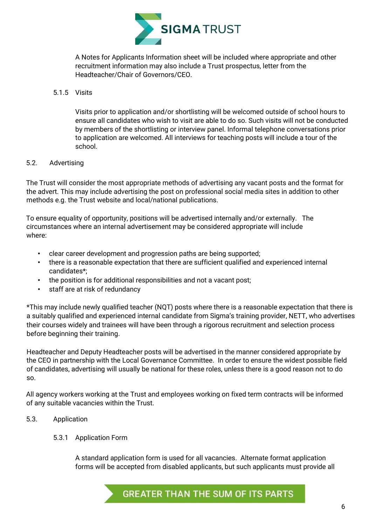

A Notes for Applicants Information sheet will be included where appropriate and other recruitment information may also include a Trust prospectus, letter from the Headteacher/Chair of Governors/CEO.

#### 5.1.5 Visits

Visits prior to application and/or shortlisting will be welcomed outside of school hours to ensure all candidates who wish to visit are able to do so. Such visits will not be conducted by members of the shortlisting or interview panel. Informal telephone conversations prior to application are welcomed. All interviews for teaching posts will include a tour of the school.

#### 5.2. Advertising

The Trust will consider the most appropriate methods of advertising any vacant posts and the format for the advert. This may include advertising the post on professional social media sites in addition to other methods e.g. the Trust website and local/national publications.

To ensure equality of opportunity, positions will be advertised internally and/or externally. The circumstances where an internal advertisement may be considered appropriate will include where:

- clear career development and progression paths are being supported;
- there is a reasonable expectation that there are sufficient qualified and experienced internal candidates\*;
- the position is for additional responsibilities and not a vacant post;
- staff are at risk of redundancy

\*This may include newly qualified teacher (NQT) posts where there is a reasonable expectation that there is a suitably qualified and experienced internal candidate from Sigma's training provider, NETT, who advertises their courses widely and trainees will have been through a rigorous recruitment and selection process before beginning their training.

Headteacher and Deputy Headteacher posts will be advertised in the manner considered appropriate by the CEO in partnership with the Local Governance Committee. In order to ensure the widest possible field of candidates, advertising will usually be national for these roles, unless there is a good reason not to do so.

All agency workers working at the Trust and employees working on fixed term contracts will be informed of any suitable vacancies within the Trust.

#### 5.3. Application

#### 5.3.1 Application Form

A standard application form is used for all vacancies. Alternate format application forms will be accepted from disabled applicants, but such applicants must provide all

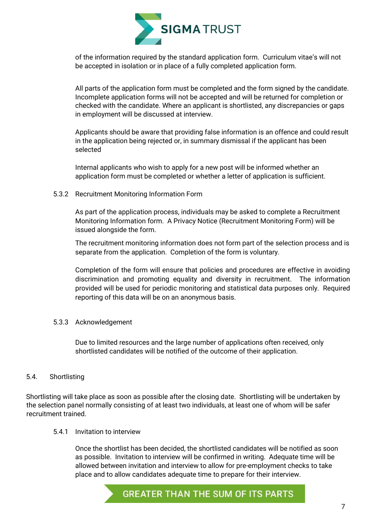

of the information required by the standard application form. Curriculum vitae's will not be accepted in isolation or in place of a fully completed application form.

All parts of the application form must be completed and the form signed by the candidate. Incomplete application forms will not be accepted and will be returned for completion or checked with the candidate. Where an applicant is shortlisted, any discrepancies or gaps in employment will be discussed at interview.

Applicants should be aware that providing false information is an offence and could result in the application being rejected or, in summary dismissal if the applicant has been selected

Internal applicants who wish to apply for a new post will be informed whether an application form must be completed or whether a letter of application is sufficient.

#### 5.3.2 Recruitment Monitoring Information Form

As part of the application process, individuals may be asked to complete a Recruitment Monitoring Information form. A Privacy Notice (Recruitment Monitoring Form) will be issued alongside the form.

The recruitment monitoring information does not form part of the selection process and is separate from the application. Completion of the form is voluntary.

Completion of the form will ensure that policies and procedures are effective in avoiding discrimination and promoting equality and diversity in recruitment. The information provided will be used for periodic monitoring and statistical data purposes only. Required reporting of this data will be on an anonymous basis.

#### 5.3.3 Acknowledgement

Due to limited resources and the large number of applications often received, only shortlisted candidates will be notified of the outcome of their application.

#### 5.4. Shortlisting

Shortlisting will take place as soon as possible after the closing date. Shortlisting will be undertaken by the selection panel normally consisting of at least two individuals, at least one of whom will be safer recruitment trained.

#### 5.4.1 Invitation to interview

Once the shortlist has been decided, the shortlisted candidates will be notified as soon as possible. Invitation to interview will be confirmed in writing. Adequate time will be allowed between invitation and interview to allow for pre-employment checks to take place and to allow candidates adequate time to prepare for their interview.

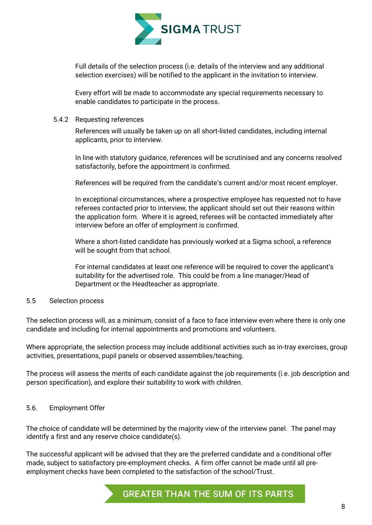

Full details of the selection process (i.e. details of the interview and any additional selection exercises) will be notified to the applicant in the invitation to interview.

Every effort will be made to accommodate any special requirements necessary to enable candidates to participate in the process.

#### 5.4.2 Requesting references

References will usually be taken up on all short-listed candidates, including internal applicants, prior to interview.

In line with statutory guidance, references will be scrutinised and any concerns resolved satisfactorily, before the appointment is confirmed.

References will be required from the candidate's current and/or most recent employer.

In exceptional circumstances, where a prospective employee has requested not to have referees contacted prior to interview, the applicant should set out their reasons within the application form. Where it is agreed, referees will be contacted immediately after interview before an offer of employment is confirmed.

Where a short-listed candidate has previously worked at a Sigma school, a reference will be sought from that school.

For internal candidates at least one reference will be required to cover the applicant's suitability for the advertised role. This could be from a line manager/Head of Department or the Headteacher as appropriate.

#### 5.5 Selection process

The selection process will, as a minimum, consist of a face to face interview even where there is only one candidate and including for internal appointments and promotions and volunteers.

Where appropriate, the selection process may include additional activities such as in-tray exercises, group activities, presentations, pupil panels or observed assemblies/teaching.

The process will assess the merits of each candidate against the job requirements (i.e. job description and person specification), and explore their suitability to work with children.

#### 5.6. Employment Offer

The choice of candidate will be determined by the majority view of the interview panel. The panel may identify a first and any reserve choice candidate(s).

The successful applicant will be advised that they are the preferred candidate and a conditional offer made, subject to satisfactory pre-employment checks. A firm offer cannot be made until all preemployment checks have been completed to the satisfaction of the school/Trust.

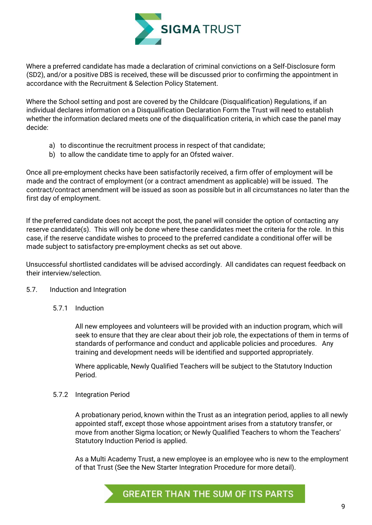

Where a preferred candidate has made a declaration of criminal convictions on a Self-Disclosure form (SD2), and/or a positive DBS is received, these will be discussed prior to confirming the appointment in accordance with the Recruitment & Selection Policy Statement.

Where the School setting and post are covered by the Childcare (Disqualification) Regulations, if an individual declares information on a Disqualification Declaration Form the Trust will need to establish whether the information declared meets one of the disqualification criteria, in which case the panel may decide:

- a) to discontinue the recruitment process in respect of that candidate;
- b) to allow the candidate time to apply for an Ofsted waiver.

Once all pre-employment checks have been satisfactorily received, a firm offer of employment will be made and the contract of employment (or a contract amendment as applicable) will be issued. The contract/contract amendment will be issued as soon as possible but in all circumstances no later than the first day of employment.

If the preferred candidate does not accept the post, the panel will consider the option of contacting any reserve candidate(s). This will only be done where these candidates meet the criteria for the role. In this case, if the reserve candidate wishes to proceed to the preferred candidate a conditional offer will be made subject to satisfactory pre-employment checks as set out above.

Unsuccessful shortlisted candidates will be advised accordingly. All candidates can request feedback on their interview/selection.

#### 5.7. Induction and Integration

5.7.1 Induction

All new employees and volunteers will be provided with an induction program, which will seek to ensure that they are clear about their job role, the expectations of them in terms of standards of performance and conduct and applicable policies and procedures. Any training and development needs will be identified and supported appropriately.

Where applicable, Newly Qualified Teachers will be subject to the Statutory Induction Period.

#### 5.7.2 Integration Period

A probationary period, known within the Trust as an integration period, applies to all newly appointed staff, except those whose appointment arises from a statutory transfer, or move from another Sigma location; or Newly Qualified Teachers to whom the Teachers' Statutory Induction Period is applied.

As a Multi Academy Trust, a new employee is an employee who is new to the employment of that Trust (See the New Starter Integration Procedure for more detail).

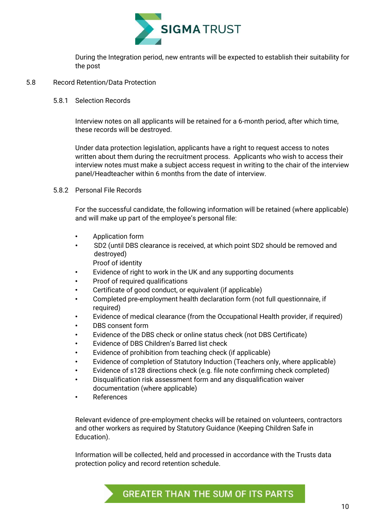

During the Integration period, new entrants will be expected to establish their suitability for the post

#### 5.8 Record Retention/Data Protection

#### 5.8.1 Selection Records

Interview notes on all applicants will be retained for a 6-month period, after which time, these records will be destroyed.

Under data protection legislation, applicants have a right to request access to notes written about them during the recruitment process. Applicants who wish to access their interview notes must make a subject access request in writing to the chair of the interview panel/Headteacher within 6 months from the date of interview.

#### 5.8.2 Personal File Records

For the successful candidate, the following information will be retained (where applicable) and will make up part of the employee's personal file:

- Application form
- SD2 (until DBS clearance is received, at which point SD2 should be removed and destroyed)
	- Proof of identity
- Evidence of right to work in the UK and any supporting documents
- Proof of required qualifications
- Certificate of good conduct, or equivalent (if applicable)
- Completed pre-employment health declaration form (not full questionnaire, if required)
- Evidence of medical clearance (from the Occupational Health provider, if required)
- DBS consent form
- Evidence of the DBS check or online status check (not DBS Certificate)
- Evidence of DBS Children's Barred list check
- Evidence of prohibition from teaching check (if applicable)
- Evidence of completion of Statutory Induction (Teachers only, where applicable)
- Evidence of s128 directions check (e.g. file note confirming check completed)
- Disqualification risk assessment form and any disqualification waiver documentation (where applicable)
- **References**

Relevant evidence of pre-employment checks will be retained on volunteers, contractors and other workers as required by Statutory Guidance (Keeping Children Safe in Education).

Information will be collected, held and processed in accordance with the Trusts data protection policy and record retention schedule.

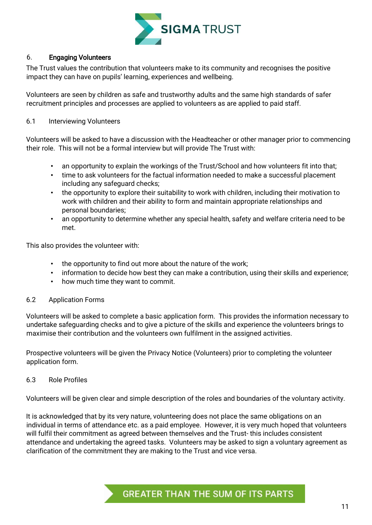

#### 6. Engaging Volunteers

The Trust values the contribution that volunteers make to its community and recognises the positive impact they can have on pupils' learning, experiences and wellbeing.

Volunteers are seen by children as safe and trustworthy adults and the same high standards of safer recruitment principles and processes are applied to volunteers as are applied to paid staff.

#### 6.1 Interviewing Volunteers

Volunteers will be asked to have a discussion with the Headteacher or other manager prior to commencing their role. This will not be a formal interview but will provide The Trust with:

- an opportunity to explain the workings of the Trust/School and how volunteers fit into that;
- time to ask volunteers for the factual information needed to make a successful placement including any safeguard checks;
- the opportunity to explore their suitability to work with children, including their motivation to work with children and their ability to form and maintain appropriate relationships and personal boundaries;
- an opportunity to determine whether any special health, safety and welfare criteria need to be met.

This also provides the volunteer with:

- the opportunity to find out more about the nature of the work;
- information to decide how best they can make a contribution, using their skills and experience;
- how much time they want to commit.

#### 6.2 Application Forms

Volunteers will be asked to complete a basic application form. This provides the information necessary to undertake safeguarding checks and to give a picture of the skills and experience the volunteers brings to maximise their contribution and the volunteers own fulfilment in the assigned activities.

Prospective volunteers will be given the Privacy Notice (Volunteers) prior to completing the volunteer application form.

#### 6.3 Role Profiles

Volunteers will be given clear and simple description of the roles and boundaries of the voluntary activity.

It is acknowledged that by its very nature, volunteering does not place the same obligations on an individual in terms of attendance etc. as a paid employee. However, it is very much hoped that volunteers will fulfil their commitment as agreed between themselves and the Trust- this includes consistent attendance and undertaking the agreed tasks. Volunteers may be asked to sign a voluntary agreement as clarification of the commitment they are making to the Trust and vice versa.

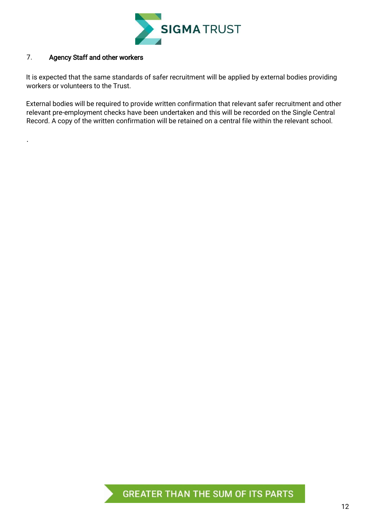

#### 7. Agency Staff and other workers

.

It is expected that the same standards of safer recruitment will be applied by external bodies providing workers or volunteers to the Trust.

External bodies will be required to provide written confirmation that relevant safer recruitment and other relevant pre-employment checks have been undertaken and this will be recorded on the Single Central Record. A copy of the written confirmation will be retained on a central file within the relevant school.

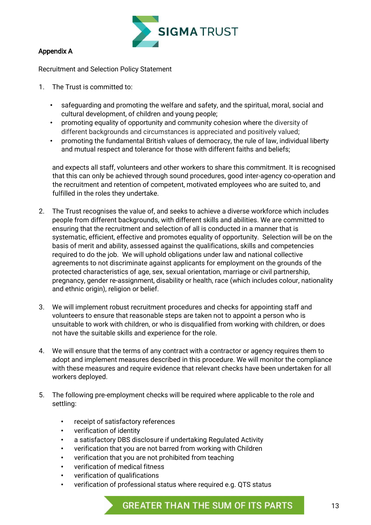

#### Appendix A

Recruitment and Selection Policy Statement

- 1. The Trust is committed to:
	- safeguarding and promoting the welfare and safety, and the spiritual, moral, social and cultural development, of children and young people;
	- promoting equality of opportunity and community cohesion where the diversity of different backgrounds and circumstances is appreciated and positively valued;
	- promoting the fundamental British values of democracy, the rule of law, individual liberty and mutual respect and tolerance for those with different faiths and beliefs;

and expects all staff, volunteers and other workers to share this commitment. It is recognised that this can only be achieved through sound procedures, good inter-agency co-operation and the recruitment and retention of competent, motivated employees who are suited to, and fulfilled in the roles they undertake.

- 2. The Trust recognises the value of, and seeks to achieve a diverse workforce which includes people from different backgrounds, with different skills and abilities. We are committed to ensuring that the recruitment and selection of all is conducted in a manner that is systematic, efficient, effective and promotes equality of opportunity. Selection will be on the basis of merit and ability, assessed against the qualifications, skills and competencies required to do the job. We will uphold obligations under law and national collective agreements to not discriminate against applicants for employment on the grounds of the protected characteristics of age, sex, sexual orientation, marriage or civil partnership, pregnancy, gender re-assignment, disability or health, race (which includes colour, nationality and ethnic origin), religion or belief.
- 3. We will implement robust recruitment procedures and checks for appointing staff and volunteers to ensure that reasonable steps are taken not to appoint a person who is unsuitable to work with children, or who is disqualified from working with children, or does not have the suitable skills and experience for the role.
- 4. We will ensure that the terms of any contract with a contractor or agency requires them to adopt and implement measures described in this procedure. We will monitor the compliance with these measures and require evidence that relevant checks have been undertaken for all workers deployed.
- 5. The following pre-employment checks will be required where applicable to the role and settling:
	- receipt of satisfactory references
	- verification of identity
	- a satisfactory DBS disclosure if undertaking Regulated Activity
	- verification that you are not barred from working with Children
	- verification that you are not prohibited from teaching
	- verification of medical fitness
	- verification of qualifications
	- verification of professional status where required e.g. QTS status

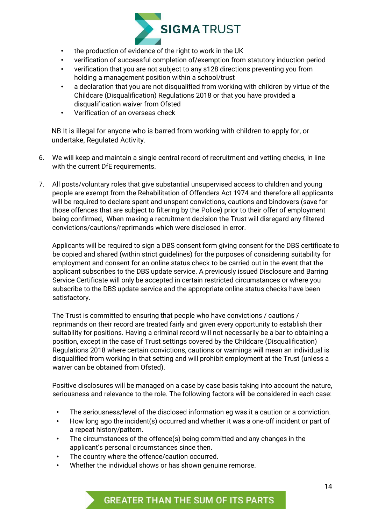

- the production of evidence of the right to work in the UK
- verification of successful completion of/exemption from statutory induction period
- verification that you are not subject to any s128 directions preventing you from holding a management position within a school/trust
- a declaration that you are not disqualified from working with children by virtue of the Childcare (Disqualification) Regulations 2018 or that you have provided a disqualification waiver from Ofsted
- Verification of an overseas check

NB It is illegal for anyone who is barred from working with children to apply for, or undertake, Regulated Activity.

- 6. We will keep and maintain a single central record of recruitment and vetting checks, in line with the current DfE requirements.
- 7. All posts/voluntary roles that give substantial unsupervised access to children and young people are exempt from the Rehabilitation of Offenders Act 1974 and therefore all applicants will be required to declare spent and unspent convictions, cautions and bindovers (save for those offences that are subject to filtering by the Police) prior to their offer of employment being confirmed, When making a recruitment decision the Trust will disregard any filtered convictions/cautions/reprimands which were disclosed in error.

Applicants will be required to sign a DBS consent form giving consent for the DBS certificate to be copied and shared (within strict guidelines) for the purposes of considering suitability for employment and consent for an online status check to be carried out in the event that the applicant subscribes to the DBS update service. A previously issued Disclosure and Barring Service Certificate will only be accepted in certain restricted circumstances or where you subscribe to the DBS update service and the appropriate online status checks have been satisfactory.

The Trust is committed to ensuring that people who have convictions / cautions / reprimands on their record are treated fairly and given every opportunity to establish their suitability for positions. Having a criminal record will not necessarily be a bar to obtaining a position, except in the case of Trust settings covered by the Childcare (Disqualification) Regulations 2018 where certain convictions, cautions or warnings will mean an individual is disqualified from working in that setting and will prohibit employment at the Trust (unless a waiver can be obtained from Ofsted).

Positive disclosures will be managed on a case by case basis taking into account the nature, seriousness and relevance to the role. The following factors will be considered in each case:

- The seriousness/level of the disclosed information eg was it a caution or a conviction.
- How long ago the incident(s) occurred and whether it was a one-off incident or part of a repeat history/pattern.
- The circumstances of the offence(s) being committed and any changes in the applicant's personal circumstances since then.
- The country where the offence/caution occurred.
- Whether the individual shows or has shown genuine remorse.

### **GREATER THAN THE SUM OF ITS PARTS**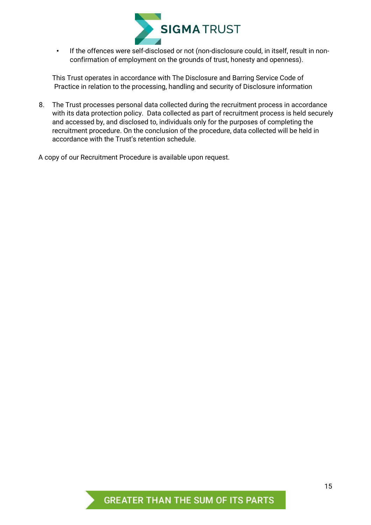

• If the offences were self-disclosed or not (non-disclosure could, in itself, result in nonconfirmation of employment on the grounds of trust, honesty and openness).

This Trust operates in accordance with The Disclosure and Barring Service Code of Practice in relation to the processing, handling and security of Disclosure information

8. The Trust processes personal data collected during the recruitment process in accordance with its data protection policy. Data collected as part of recruitment process is held securely and accessed by, and disclosed to, individuals only for the purposes of completing the recruitment procedure. On the conclusion of the procedure, data collected will be held in accordance with the Trust's retention schedule.

A copy of our Recruitment Procedure is available upon request.